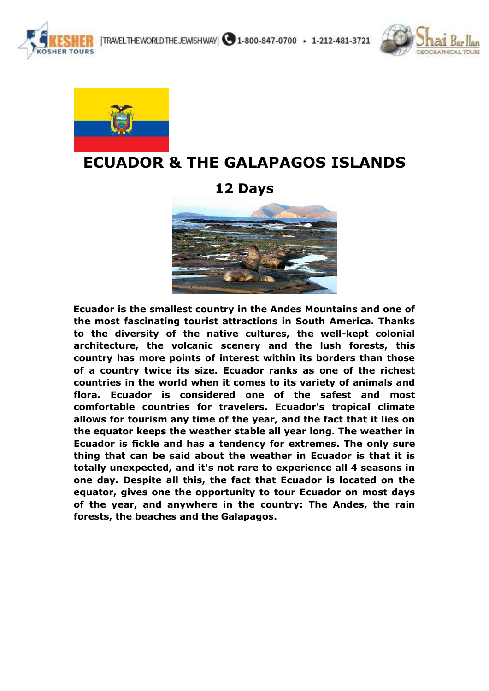

|TRAVELTHEWORLDTHEJEWISHWAY| 31-800-847-0700 · 1-212-481-3721





# **ECUADOR & THE GALAPAGOS ISLANDS**

# **12 Days**



**Ecuador is the smallest country in the Andes Mountains and one of the most fascinating tourist attractions in South America. Thanks to the diversity of the native cultures, the well-kept colonial architecture, the volcanic scenery and the lush forests, this country has more points of interest within its borders than those of a country twice its size. Ecuador ranks as one of the richest countries in the world when it comes to its variety of animals and flora. Ecuador is considered one of the safest and most comfortable countries for travelers. Ecuador's tropical climate allows for tourism any time of the year, and the fact that it lies on the equator keeps the weather stable all year long. The weather in Ecuador is fickle and has a tendency for extremes. The only sure thing that can be said about the weather in Ecuador is that it is totally unexpected, and it's not rare to experience all 4 seasons in one day. Despite all this, the fact that Ecuador is located on the equator, gives one the opportunity to tour Ecuador on most days of the year, and anywhere in the country: The Andes, the rain forests, the beaches and the Galapagos.**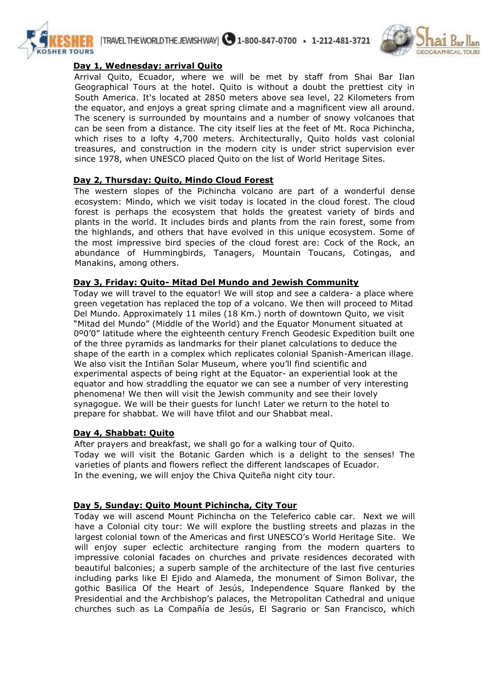



### **Day 1, Wednesday: arrival Quito**

Arrival Quito, Ecuador, where we will be met by staff from Shai Bar Ilan Geographical Tours at the hotel. Quito is without a doubt the prettiest city in South America. It's located at 2850 meters above sea level, 22 Kilometers from the equator, and enjoys a great spring climate and a magnificent view all around. The scenery is surrounded by mountains and a number of snowy volcanoes that can be seen from a distance. The city itself lies at the feet of Mt. Roca Pichincha, which rises to a lofty 4,700 meters. Architecturally, Quito holds vast colonial treasures, and construction in the modern city is under strict supervision ever since 1978, when UNESCO placed Quito on the list of World Heritage Sites.

### **Day 2, Thursday: Quito, Mindo Cloud Forest**

The western slopes of the Pichincha volcano are part of a wonderful dense ecosystem: Mindo, which we visit today is located in the cloud forest. The cloud forest is perhaps the ecosystem that holds the greatest variety of birds and plants in the world. It includes birds and plants from the rain forest, some from the highlands, and others that have evolved in this unique ecosystem. Some of the most impressive bird species of the cloud forest are: Cock of the Rock, an abundance of Hummingbirds, Tanagers, Mountain Toucans, Cotingas, and Manakins, among others.

#### **Day 3, Friday: Quito- Mitad Del Mundo and Jewish Community**

Today we will travel to the equator! We will stop and see a caldera- a place where green vegetation has replaced the top of a volcano. We then will proceed to Mitad Del Mundo. Approximately 11 miles (18 Km.) north of downtown Quito, we visit "Mitad del Mundo" (Middle of the World) and the Equator Monument situated at 0º0'0" latitude where the eighteenth century French Geodesic Expedition built one of the three pyramids as landmarks for their planet calculations to deduce the shape of the earth in a complex which replicates colonial Spanish-American illage. We also visit the Intiñan Solar Museum, where you'll find scientific and experimental aspects of being right at the Equator- an experiential look at the equator and how straddling the equator we can see a number of very interesting phenomena! We then will visit the Jewish community and see their lovely synagogue. We will be their guests for lunch! Later we return to the hotel to prepare for shabbat. We will have tfilot and our Shabbat meal.

#### **Day 4, Shabbat: Quito**

After prayers and breakfast, we shall go for a walking tour of Quito. Today we will visit the Botanic Garden which is a delight to the senses! The varieties of plants and flowers reflect the different landscapes of Ecuador. In the evening, we will enjoy the Chiva Quiteña night city tour.

# **Day 5, Sunday: Quito Mount Pichincha, City Tour**

Today we will ascend Mount Pichincha on the Teleferico cable car. Next we will have a Colonial city tour: We will explore the bustling streets and plazas in the largest colonial town of the Americas and first UNESCO's World Heritage Site. We will enjoy super eclectic architecture ranging from the modern quarters to impressive colonial facades on churches and private residences decorated with beautiful balconies; a superb sample of the architecture of the last five centuries including parks like El Ejido and Alameda, the monument of Simon Bolivar, the gothic Basilica Of the Heart of Jesús, Independence Square flanked by the Presidential and the Archbishop's palaces, the Metropolitan Cathedral and unique churches such as La Compañía de Jesús, El Sagrario or San Francisco, which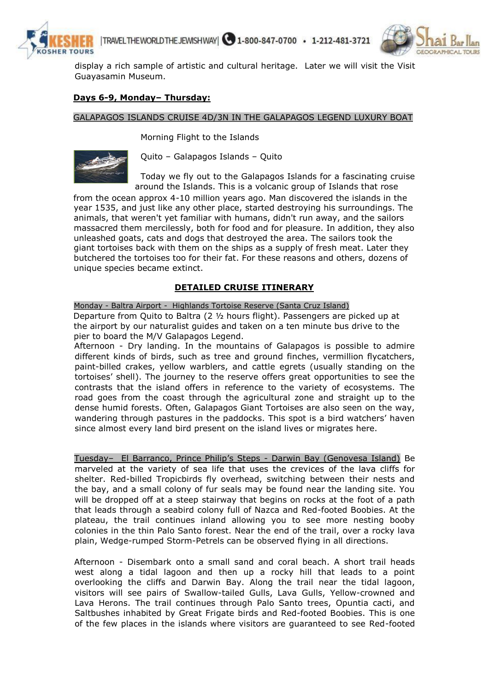



display a rich sample of artistic and cultural heritage. Later we will visit the Visit Guayasamin Museum.

#### **Days 6-9, Monday– Thursday:**

#### GALAPAGOS ISLANDS CRUISE 4D/3N IN THE GALAPAGOS LEGEND LUXURY BOAT

Morning Flight to the Islands



Quito – Galapagos Islands – Quito

Today we fly out to the Galapagos Islands for a fascinating cruise around the Islands. This is a volcanic group of Islands that rose

from the ocean approx 4-10 million years ago. Man discovered the islands in the year 1535, and just like any other place, started destroying his surroundings. The animals, that weren't yet familiar with humans, didn't run away, and the sailors massacred them mercilessly, both for food and for pleasure. In addition, they also unleashed goats, cats and dogs that destroyed the area. The sailors took the giant tortoises back with them on the ships as a supply of fresh meat. Later they butchered the tortoises too for their fat. For these reasons and others, dozens of unique species became extinct.

#### **DETAILED CRUISE ITINERARY**

Monday - Baltra Airport - Highlands Tortoise Reserve (Santa Cruz Island) Departure from Quito to Baltra (2 ½ hours flight). Passengers are picked up at the airport by our naturalist guides and taken on a ten minute bus drive to the pier to board the M/V Galapagos Legend.

Afternoon - Dry landing. In the mountains of Galapagos is possible to admire different kinds of birds, such as tree and ground finches, vermillion flycatchers, paint-billed crakes, yellow warblers, and cattle egrets (usually standing on the tortoises' shell). The journey to the reserve offers great opportunities to see the contrasts that the island offers in reference to the variety of ecosystems. The road goes from the coast through the agricultural zone and straight up to the dense humid forests. Often, Galapagos Giant Tortoises are also seen on the way, wandering through pastures in the paddocks. This spot is a bird watchers' haven since almost every land bird present on the island lives or migrates here.

Tuesday– El Barranco, Prince Philip's Steps - Darwin Bay (Genovesa Island) Be marveled at the variety of sea life that uses the crevices of the lava cliffs for shelter. Red-billed Tropicbirds fly overhead, switching between their nests and the bay, and a small colony of fur seals may be found near the landing site. You will be dropped off at a steep stairway that begins on rocks at the foot of a path that leads through a seabird colony full of Nazca and Red-footed Boobies. At the plateau, the trail continues inland allowing you to see more nesting booby colonies in the thin Palo Santo forest. Near the end of the trail, over a rocky lava plain, Wedge-rumped Storm-Petrels can be observed flying in all directions.

Afternoon - Disembark onto a small sand and coral beach. A short trail heads west along a tidal lagoon and then up a rocky hill that leads to a point overlooking the cliffs and Darwin Bay. Along the trail near the tidal lagoon, visitors will see pairs of Swallow-tailed Gulls, Lava Gulls, Yellow-crowned and Lava Herons. The trail continues through Palo Santo trees, Opuntia cacti, and Saltbushes inhabited by Great Frigate birds and Red-footed Boobies. This is one of the few places in the islands where visitors are guaranteed to see Red-footed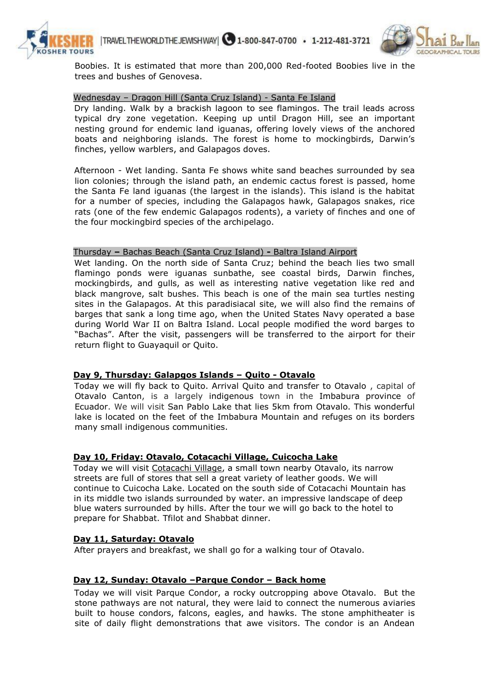



Boobies. It is estimated that more than 200,000 Red-footed Boobies live in the trees and bushes of Genovesa.

#### Wednesday – Dragon Hill (Santa Cruz Island) - Santa Fe Island

Dry landing. Walk by a brackish lagoon to see flamingos. The trail leads across typical dry zone vegetation. Keeping up until Dragon Hill, see an important nesting ground for endemic land iguanas, offering lovely views of the anchored boats and neighboring islands. The forest is home to mockingbirds, Darwin's finches, yellow warblers, and Galapagos doves.

Afternoon - Wet landing. Santa Fe shows white sand beaches surrounded by sea lion colonies; through the island path, an endemic cactus forest is passed, home the Santa Fe land iguanas (the largest in the islands). This island is the habitat for a number of species, including the Galapagos hawk, Galapagos snakes, rice rats (one of the few endemic Galapagos rodents), a variety of finches and one of the four mockingbird species of the archipelago.

#### Thursday **–** Bachas Beach (Santa Cruz Island) **-** Baltra Island Airport

Wet landing. On the north side of Santa Cruz; behind the beach lies two small flamingo ponds were iguanas sunbathe, see coastal birds, Darwin finches, mockingbirds, and gulls, as well as interesting native vegetation like red and black mangrove, salt bushes. This beach is one of the main sea turtles nesting sites in the Galapagos. At this paradisiacal site, we will also find the remains of barges that sank a long time ago, when the United States Navy operated a base during World War II on Baltra Island. Local people modified the word barges to "Bachas". After the visit, passengers will be transferred to the airport for their return flight to Guayaquil or Quito.

#### **Day 9, Thursday: Galapgos Islands – Quito - Otavalo**

Today we will fly back to Quito. Arrival Quito and transfer to Otavalo , capital of Otavalo Canton, is a largely indigenous town in the Imbabura province of Ecuador. We will visit San Pablo Lake that lies 5km from Otavalo. This wonderful lake is located on the feet of the Imbabura Mountain and refuges on its borders many small indigenous communities.

#### **Day 10, Friday: Otavalo, Cotacachi Village, Cuicocha Lake**

Today we will visit Cotacachi Village, a small town nearby Otavalo, its narrow streets are full of stores that sell a great variety of leather goods. We will continue to Cuicocha Lake. Located on the south side of Cotacachi Mountain has in its middle two islands surrounded by water. an impressive landscape of deep blue waters surrounded by hills. After the tour we will go back to the hotel to prepare for Shabbat. Tfilot and Shabbat dinner.

#### **Day 11, Saturday: Otavalo**

After prayers and breakfast, we shall go for a walking tour of Otavalo.

#### **Day 12, Sunday: Otavalo –Parque Condor – Back home**

Today we will visit Parque Condor, a rocky outcropping above Otavalo. But the stone pathways are not natural, they were laid to connect the numerous aviaries built to house condors, falcons, eagles, and hawks. The stone amphitheater is site of daily flight demonstrations that awe visitors. The condor is an Andean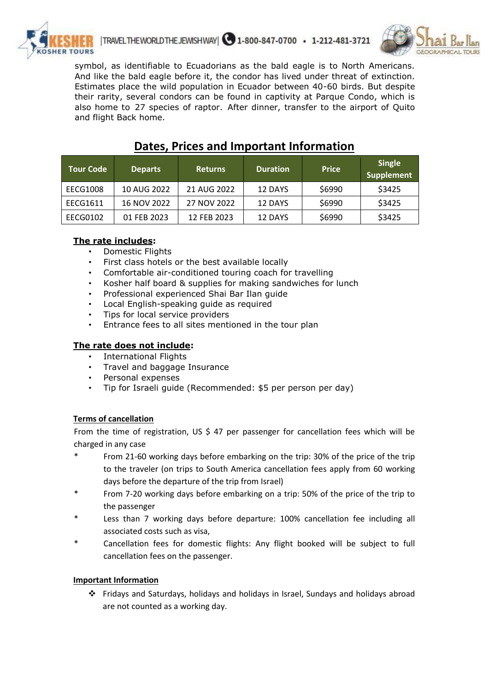



symbol, as identifiable to Ecuadorians as the bald eagle is to North Americans. And like the bald eagle before it, the condor has lived under threat of extinction. Estimates place the wild population in Ecuador between 40-60 birds. But despite their rarity, several condors can be found in captivity at Parque Condo, which is also home to 27 species of raptor. After dinner, transfer to the airport of Quito and flight Back home.

| <b>Tour Code</b> | <b>Departs</b> | <b>Returns</b> | <b>Duration</b> | <b>Price</b> | <b>Single</b><br><b>Supplement</b> |
|------------------|----------------|----------------|-----------------|--------------|------------------------------------|
| EECG1008         | 10 AUG 2022    | 21 AUG 2022    | 12 DAYS         | \$6990       | \$3425                             |
| EECG1611         | 16 NOV 2022    | 27 NOV 2022    | 12 DAYS         | \$6990       | \$3425                             |
| EECG0102         | 01 FEB 2023    | 12 FEB 2023    | 12 DAYS         | \$6990       | \$3425                             |

# **Dates, Prices and Important Information**

# **The rate includes:**

- Domestic Flights
- First class hotels or the best available locally
- Comfortable air-conditioned touring coach for travelling
- Kosher half board & supplies for making sandwiches for lunch
- Professional experienced Shai Bar Ilan guide
- Local English-speaking guide as required
- Tips for local service providers
- Entrance fees to all sites mentioned in the tour plan
- **The rate does not include:** 
	- International Flights
	- Travel and baggage Insurance
	- Personal expenses
	- Tip for Israeli guide (Recommended: \$5 per person per day)

#### **Terms of cancellation**

From the time of registration, US  $\frac{2}{3}$  47 per passenger for cancellation fees which will be charged in any case

- From 21-60 working days before embarking on the trip: 30% of the price of the trip to the traveler (on trips to South America cancellation fees apply from 60 working days before the departure of the trip from Israel)
- From 7-20 working days before embarking on a trip: 50% of the price of the trip to the passenger
- \* Less than 7 working days before departure: 100% cancellation fee including all associated costs such as visa,
- Cancellation fees for domestic flights: Any flight booked will be subject to full cancellation fees on the passenger.

#### **Important Information**

 Fridays and Saturdays, holidays and holidays in Israel, Sundays and holidays abroad are not counted as a working day.